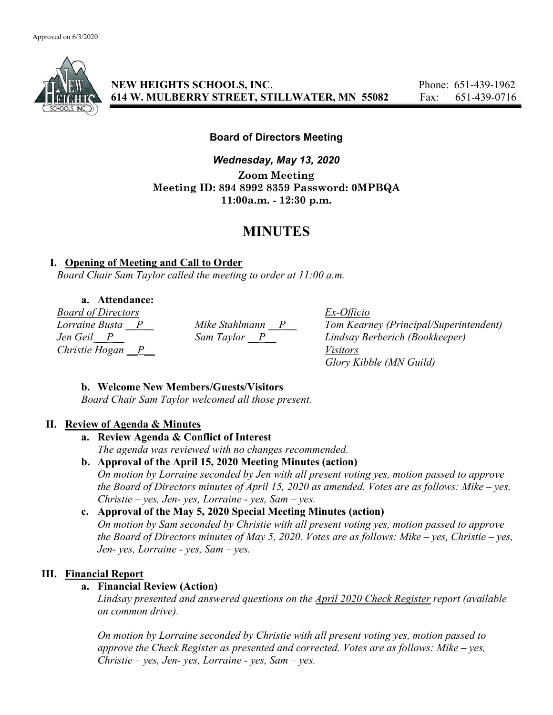

NEW HEIGHTS SCHOOLS, INC. Phone: 651-439-1962 614 W. MULBERRY STREET, STILLWATER, MN 55082 Fax: 651-439-0716

# Board of Directors Meeting

Wednesday, May 13, 2020 Zoom Meeting Meeting ID: 894 8992 8359 Password: 0MPBQA 11:00a.m. - 12:30 p.m.

# MINUTES

### I. Opening of Meeting and Call to Order

Board Chair Sam Taylor called the meeting to order at 11:00 a.m.

a. Attendance:

*Board of Directors*<br> *Lorraine Busta* <u>P</u> *Mike Stahlmann* <u>P</u> *Tom Kearn* Christie Hogan  $\overline{P}$  Visitors

Mike Stahlmann  $\frac{P}{\text{Dom Kearney}}$  (Principal/Superintendent)<br>Sam Taylor  $\frac{P}{\text{Dom Kearney}}$  Lindsay Berberich (Bookkeeper) Jen Geil P Sam Taylor P Lindsay Berberich (Bookkeeper) Glory Kibble (MN Guild)

# b. Welcome New Members/Guests/Visitors

Board Chair Sam Taylor welcomed all those present.

# II. Review of Agenda & Minutes

### a. Review Agenda & Conflict of Interest The agenda was reviewed with no changes recommended.

b. Approval of the April 15, 2020 Meeting Minutes (action)

On motion by Lorraine seconded by Jen with all present voting yes, motion passed to approve the Board of Directors minutes of April 15, 2020 as amended. Votes are as follows: Mike – yes, Christie – yes, Jen- yes, Lorraine - yes, Sam – yes.

# c. Approval of the May 5, 2020 Special Meeting Minutes (action)

On motion by Sam seconded by Christie with all present voting yes, motion passed to approve the Board of Directors minutes of May 5, 2020. Votes are as follows: Mike – yes, Christie – yes, Jen- yes, Lorraine - yes, Sam  $-$  yes.

# III. Financial Report

# a. Financial Review (Action)

Lindsay presented and answered questions on the April 2020 Check Register report (available on common drive).

On motion by Lorraine seconded by Christie with all present voting yes, motion passed to approve the Check Register as presented and corrected. Votes are as follows: Mike – yes, Christie – yes, Jen- yes, Lorraine - yes, Sam – yes.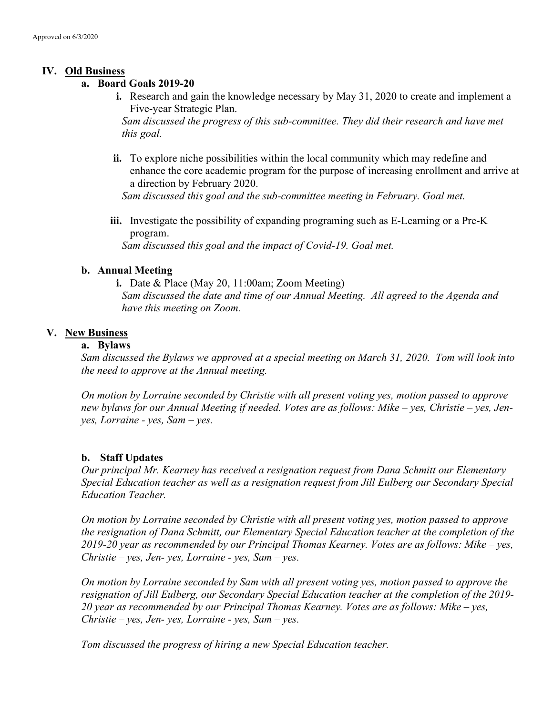### IV. Old Business

### a. Board Goals 2019-20

i. Research and gain the knowledge necessary by May 31, 2020 to create and implement a Five-year Strategic Plan.

Sam discussed the progress of this sub-committee. They did their research and have met this goal.

ii. To explore niche possibilities within the local community which may redefine and enhance the core academic program for the purpose of increasing enrollment and arrive at a direction by February 2020.

Sam discussed this goal and the sub-committee meeting in February. Goal met.

iii. Investigate the possibility of expanding programing such as E-Learning or a Pre-K program. Sam discussed this goal and the impact of Covid-19. Goal met.

### b. Annual Meeting

i. Date & Place (May 20, 11:00am; Zoom Meeting) Sam discussed the date and time of our Annual Meeting. All agreed to the Agenda and have this meeting on Zoom.

### V. New Business

#### a. Bylaws

Sam discussed the Bylaws we approved at a special meeting on March 31, 2020. Tom will look into the need to approve at the Annual meeting.

On motion by Lorraine seconded by Christie with all present voting yes, motion passed to approve new bylaws for our Annual Meeting if needed. Votes are as follows: Mike – yes, Christie – yes, Jenyes, Lorraine - yes, Sam – yes.

### b. Staff Updates

Our principal Mr. Kearney has received a resignation request from Dana Schmitt our Elementary Special Education teacher as well as a resignation request from Jill Eulberg our Secondary Special Education Teacher.

On motion by Lorraine seconded by Christie with all present voting yes, motion passed to approve the resignation of Dana Schmitt, our Elementary Special Education teacher at the completion of the 2019-20 year as recommended by our Principal Thomas Kearney. Votes are as follows: Mike – yes,  $Christie - yes, Jen- yes, Lorraine - yes, Sam- yes.$ 

On motion by Lorraine seconded by Sam with all present voting yes, motion passed to approve the resignation of Jill Eulberg, our Secondary Special Education teacher at the completion of the 2019- 20 year as recommended by our Principal Thomas Kearney. Votes are as follows: Mike – yes,  $Christie - yes, Jen- yes, Lorraine - yes, Sam- yes.$ 

Tom discussed the progress of hiring a new Special Education teacher.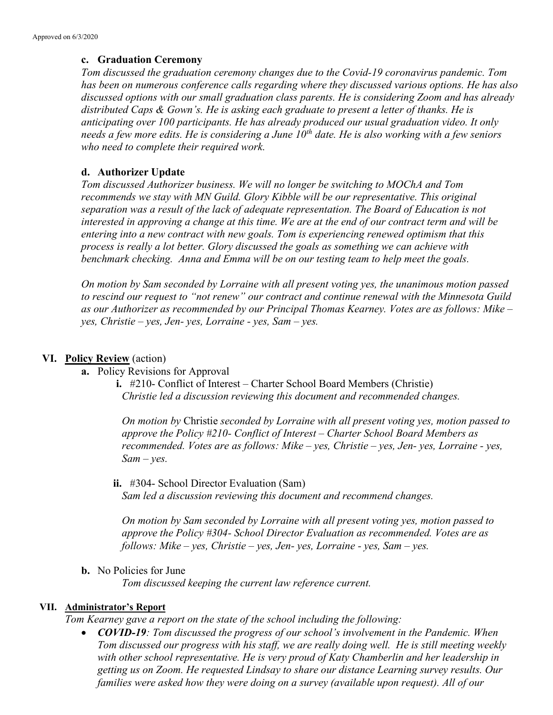### c. Graduation Ceremony

Tom discussed the graduation ceremony changes due to the Covid-19 coronavirus pandemic. Tom has been on numerous conference calls regarding where they discussed various options. He has also discussed options with our small graduation class parents. He is considering Zoom and has already distributed Caps & Gown's. He is asking each graduate to present a letter of thanks. He is anticipating over 100 participants. He has already produced our usual graduation video. It only needs a few more edits. He is considering a June  $10^{th}$  date. He is also working with a few seniors who need to complete their required work.

### d. Authorizer Update

Tom discussed Authorizer business. We will no longer be switching to MOChA and Tom recommends we stay with MN Guild. Glory Kibble will be our representative. This original separation was a result of the lack of adequate representation. The Board of Education is not interested in approving a change at this time. We are at the end of our contract term and will be entering into a new contract with new goals. Tom is experiencing renewed optimism that this process is really a lot better. Glory discussed the goals as something we can achieve with benchmark checking. Anna and Emma will be on our testing team to help meet the goals.

On motion by Sam seconded by Lorraine with all present voting yes, the unanimous motion passed to rescind our request to "not renew" our contract and continue renewal with the Minnesota Guild as our Authorizer as recommended by our Principal Thomas Kearney. Votes are as follows: Mike –  $yes, Christie - yes, Jen- yes, Lorraine - ves, Sam - ves.$ 

# VI. Policy Review (action)

- a. Policy Revisions for Approval
	- i. #210- Conflict of Interest Charter School Board Members (Christie) Christie led a discussion reviewing this document and recommended changes.

On motion by Christie seconded by Lorraine with all present voting yes, motion passed to approve the Policy #210- Conflict of Interest – Charter School Board Members as recommended. Votes are as follows: Mike – yes, Christie – yes, Jen- yes, Lorraine - yes,  $Sam - yes$ .

ii. #304- School Director Evaluation (Sam) Sam led a discussion reviewing this document and recommend changes.

On motion by Sam seconded by Lorraine with all present voting yes, motion passed to approve the Policy #304- School Director Evaluation as recommended. Votes are as follows: Mike – yes, Christie – yes, Jen- yes, Lorraine - yes, Sam – yes.

b. No Policies for June

Tom discussed keeping the current law reference current.

### VII. Administrator's Report

Tom Kearney gave a report on the state of the school including the following:

• **COVID-19**: Tom discussed the progress of our school's involvement in the Pandemic. When Tom discussed our progress with his staff, we are really doing well. He is still meeting weekly with other school representative. He is very proud of Katy Chamberlin and her leadership in getting us on Zoom. He requested Lindsay to share our distance Learning survey results. Our families were asked how they were doing on a survey (available upon request). All of our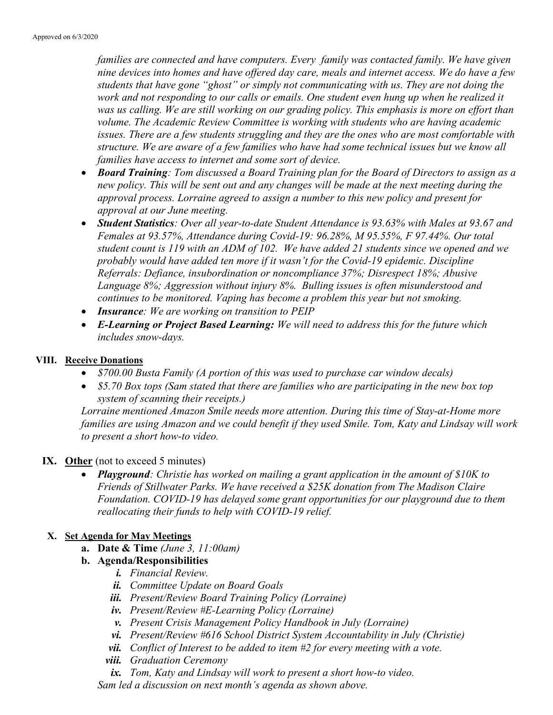families are connected and have computers. Every family was contacted family. We have given nine devices into homes and have offered day care, meals and internet access. We do have a few students that have gone "ghost" or simply not communicating with us. They are not doing the work and not responding to our calls or emails. One student even hung up when he realized it was us calling. We are still working on our grading policy. This emphasis is more on effort than volume. The Academic Review Committee is working with students who are having academic issues. There are a few students struggling and they are the ones who are most comfortable with structure. We are aware of a few families who have had some technical issues but we know all families have access to internet and some sort of device.

- Board Training: Tom discussed a Board Training plan for the Board of Directors to assign as a new policy. This will be sent out and any changes will be made at the next meeting during the approval process. Lorraine agreed to assign a number to this new policy and present for approval at our June meeting.
- Student Statistics: Over all year-to-date Student Attendance is 93.63% with Males at 93.67 and Females at 93.57%, Attendance during Covid-19: 96.28%, M 95.55%, F 97.44%. Our total student count is 119 with an ADM of 102. We have added 21 students since we opened and we probably would have added ten more if it wasn't for the Covid-19 epidemic. Discipline Referrals: Defiance, insubordination or noncompliance 37%; Disrespect 18%; Abusive Language 8%; Aggression without injury 8%. Bulling issues is often misunderstood and continues to be monitored. Vaping has become a problem this year but not smoking.
- Insurance: We are working on transition to PEIP
- E-Learning or Project Based Learning: We will need to address this for the future which includes snow-days.

# VIII. Receive Donations

- \$700.00 Busta Family (A portion of this was used to purchase car window decals)
- \$5.70 Box tops (Sam stated that there are families who are participating in the new box top system of scanning their receipts.)

Lorraine mentioned Amazon Smile needs more attention. During this time of Stay-at-Home more families are using Amazon and we could benefit if they used Smile. Tom, Katy and Lindsay will work to present a short how-to video.

### IX. Other (not to exceed 5 minutes)

• Playground: Christie has worked on mailing a grant application in the amount of \$10K to Friends of Stillwater Parks. We have received a \$25K donation from The Madison Claire Foundation. COVID-19 has delayed some grant opportunities for our playground due to them reallocating their funds to help with COVID-19 relief.

# X. Set Agenda for May Meetings

- a. Date & Time (June 3,  $11:00am$ )
- b. Agenda/Responsibilities
	- i. Financial Review.
	- ii. Committee Update on Board Goals
	- iii. Present/Review Board Training Policy (Lorraine)
	- iv. Present/Review #E-Learning Policy (Lorraine)
	- v. Present Crisis Management Policy Handbook in July (Lorraine)
	- vi. Present/Review #616 School District System Accountability in July (Christie)
	- vii. Conflict of Interest to be added to item  $#2$  for every meeting with a vote.
	- viii. Graduation Ceremony
	- $ix.$  Tom, Katy and Lindsay will work to present a short how-to video.

Sam led a discussion on next month's agenda as shown above.